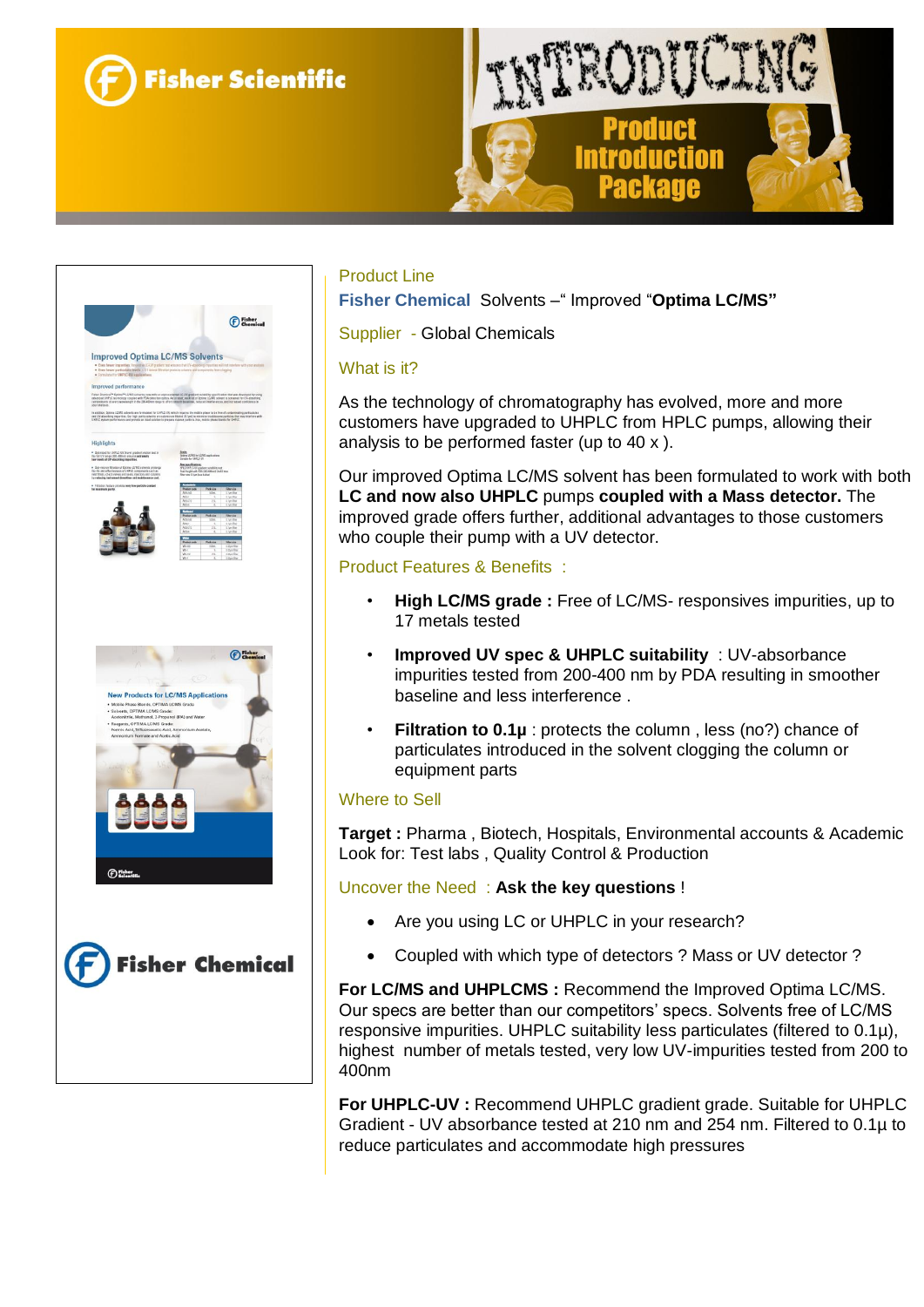





### Product Line

**Fisher Chemical** Solvents –" Improved "**Optima LC/MS"**

Supplier - Global Chemicals

#### What is it?

As the technology of chromatography has evolved, more and more customers have upgraded to UHPLC from HPLC pumps, allowing their analysis to be performed faster (up to 40 x ).

Our improved Optima LC/MS solvent has been formulated to work with both **LC and now also UHPLC** pumps **coupled with a Mass detector.** The improved grade offers further, additional advantages to those customers who couple their pump with a UV detector.

### Product Features & Benefits :

- **High LC/MS grade :** Free of LC/MS- responsives impurities, up to 17 metals tested
- **Improved UV spec & UHPLC suitability** : UV-absorbance impurities tested from 200-400 nm by PDA resulting in smoother baseline and less interference .
- **Filtration to 0.1µ** : protects the column, less (no?) chance of particulates introduced in the solvent clogging the column or equipment parts

#### Where to Sell

**Target :** Pharma , Biotech, Hospitals, Environmental accounts & Academic Look for: Test labs , Quality Control & Production

Uncover the Need : **Ask the key questions** !

- Are you using LC or UHPLC in your research?
- Coupled with which type of detectors ? Mass or UV detector ?

**For LC/MS and UHPLCMS :** Recommend the Improved Optima LC/MS. Our specs are better than our competitors' specs. Solvents free of LC/MS responsive impurities. UHPLC suitability less particulates (filtered to 0.1µ), highest number of metals tested, very low UV-impurities tested from 200 to 400nm

**For UHPLC-UV :** Recommend UHPLC gradient grade. Suitable for UHPLC Gradient - UV absorbance tested at 210 nm and 254 nm. Filtered to 0.1µ to reduce particulates and accommodate high pressures